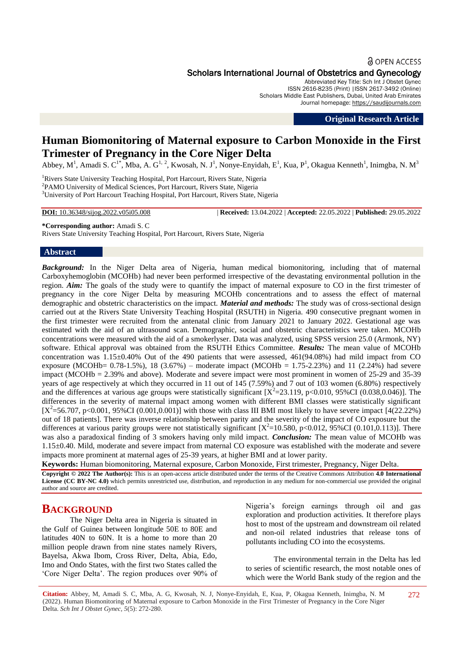#### **a** OPEN ACCESS

Scholars International Journal of Obstetrics and Gynecology

Abbreviated Key Title: Sch Int J Obstet Gynec ISSN 2616-8235 (Print) |ISSN 2617-3492 (Online) Scholars Middle East Publishers, Dubai, United Arab Emirates Journal homepage: [https://saudijournals.com](https://saudijournals.com/sijog)

**Original Research Article**

# **Human Biomonitoring of Maternal exposure to Carbon Monoxide in the First Trimester of Pregnancy in the Core Niger Delta**

Abbey, M<sup>1</sup>, Amadi S. C<sup>1\*</sup>, Mba, A. G<sup>1, 2</sup>, Kwosah, N. J<sup>1</sup>, Nonye-Enyidah, E<sup>1</sup>, Kua, P<sup>1</sup>, Okagua Kenneth<sup>1</sup>, Inimgba, N. M<sup>3</sup>

<sup>1</sup>Rivers State University Teaching Hospital, Port Harcourt, Rivers State, Nigeria <sup>2</sup>PAMO University of Medical Sciences, Port Harcourt, Rivers State, Nigeria <sup>3</sup>University of Port Harcourt Teaching Hospital, Port Harcourt, Rivers State, Nigeria

**DOI:** 10.36348/sijog.2022.v05i05.008 | **Received:** 13.04.2022 | **Accepted:** 22.05.2022 | **Published:** 29.05.2022

**\*Corresponding author:** Amadi S. C

Rivers State University Teaching Hospital, Port Harcourt, Rivers State, Nigeria

### **Abstract**

*Background:* In the Niger Delta area of Nigeria, human medical biomonitoring, including that of maternal Carboxyhemoglobin (MCOHb) had never been performed irrespective of the devastating environmental pollution in the region. *Aim:* The goals of the study were to quantify the impact of maternal exposure to CO in the first trimester of pregnancy in the core Niger Delta by measuring MCOHb concentrations and to assess the effect of maternal demographic and obstetric characteristics on the impact. *Material and methods:* The study was of cross-sectional design carried out at the Rivers State University Teaching Hospital (RSUTH) in Nigeria. 490 consecutive pregnant women in the first trimester were recruited from the antenatal clinic from January 2021 to January 2022. Gestational age was estimated with the aid of an ultrasound scan. Demographic, social and obstetric characteristics were taken. MCOHb concentrations were measured with the aid of a smokerlyser. Data was analyzed, using SPSS version 25.0 (Armonk, NY) software. Ethical approval was obtained from the RSUTH Ethics Committee. *Results:* The mean value of MCOHb concentration was 1.15±0.40% Out of the 490 patients that were assessed, 461(94.08%) had mild impact from CO exposure (MCOHb=  $0.78-1.5\%$ ), 18 (3.67%) – moderate impact (MCOHb = 1.75-2.23%) and 11 (2.24%) had severe impact (MCOHb = 2.39% and above). Moderate and severe impact were most prominent in women of 25-29 and 35-39 years of age respectively at which they occurred in 11 out of 145 (7.59%) and 7 out of 103 women (6.80%) respectively and the differences at various age groups were statistically significant  $[X^2=23.119, p<0.010, 95\%$ CI (0.038,0.046)]. The differences in the severity of maternal impact among women with different BMI classes were statistically significant  $[X^2=56.707, p<0.001, 95\%CI (0.001,0.001)]$  with those with class III BMI most likely to have severe impact [4(22.22%) out of 18 patients]. There was inverse relationship between parity and the severity of the impact of CO exposure but the differences at various parity groups were not statistically significant  $[X^2=10.580, p<0.012, 95\%$ CI (0.101,0.113)]. There was also a paradoxical finding of 3 smokers having only mild impact. *Conclusion:* The mean value of MCOHb was 1.15±0.40. Mild, moderate and severe impact from maternal CO exposure was established with the moderate and severe impacts more prominent at maternal ages of 25-39 years, at higher BMI and at lower parity.

**Keywords:** Human biomonitoring, Maternal exposure, Carbon Monoxide, First trimester, Pregnancy, Niger Delta.

**Copyright © 2022 The Author(s):** This is an open-access article distributed under the terms of the Creative Commons Attribution **4.0 International License (CC BY-NC 4.0)** which permits unrestricted use, distribution, and reproduction in any medium for non-commercial use provided the original author and source are credited.

## **BACKGROUND**

The Niger Delta area in Nigeria is situated in the Gulf of Guinea between longitude 50E to 80E and latitudes 40N to 60N. It is a home to more than 20 million people drawn from nine states namely Rivers, Bayelsa, Akwa Ibom, Cross River, Delta, Abia, Edo, Imo and Ondo States, with the first two States called the ‗Core Niger Delta'. The region produces over 90% of Nigeria's foreign earnings through oil and gas exploration and production activities. It therefore plays host to most of the upstream and downstream oil related and non-oil related industries that release tons of pollutants including CO into the ecosystems.

The environmental terrain in the Delta has led to series of scientific research, the most notable ones of which were the World Bank study of the region and the

**Citation:** Abbey, M, Amadi S. C, Mba, A. G, Kwosah, N. J, Nonye-Enyidah, E, Kua, P, Okagua Kenneth, Inimgba, N. M (2022). Human Biomonitoring of Maternal exposure to Carbon Monoxide in the First Trimester of Pregnancy in the Core Niger Delta. *Sch Int J Obstet Gynec, 5*(5): 272-280.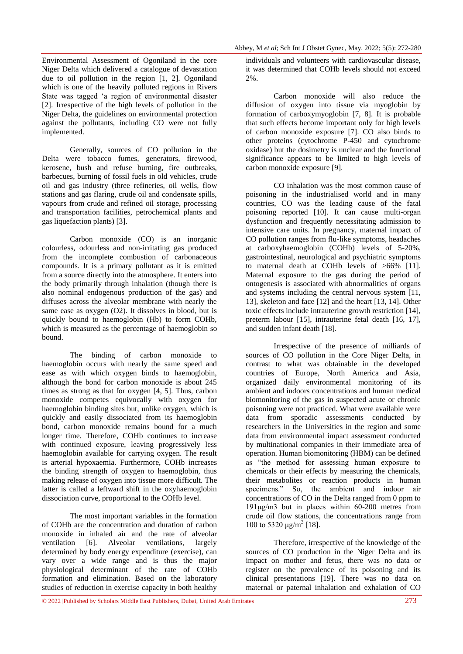Environmental Assessment of Ogoniland in the core Niger Delta which delivered a catalogue of devastation due to oil pollution in the region [1, 2]. Ogoniland which is one of the heavily polluted regions in Rivers State was tagged 'a region of environmental disaster [2]. Irrespective of the high levels of pollution in the Niger Delta, the guidelines on environmental protection against the pollutants, including CO were not fully implemented.

Generally, sources of CO pollution in the Delta were tobacco fumes, generators, firewood, kerosene, bush and refuse burning, fire outbreaks, barbecues, burning of fossil fuels in old vehicles, crude oil and gas industry (three refineries, oil wells, flow stations and gas flaring, crude oil and condensate spills, vapours from crude and refined oil storage, processing and transportation facilities, petrochemical plants and gas liquefaction plants) [3].

Carbon monoxide (CO) is an inorganic colourless, odourless and non-irritating gas produced from the incomplete combustion of carbonaceous compounds. It is a primary pollutant as it is emitted from a source directly into the atmosphere. It enters into the body primarily through inhalation (though there is also nominal endogenous production of the gas) and diffuses across the alveolar membrane with nearly the same ease as oxygen (O2). It dissolves in blood, but is quickly bound to haemoglobin (Hb) to form COHb, which is measured as the percentage of haemoglobin so bound.

The binding of carbon monoxide to haemoglobin occurs with nearly the same speed and ease as with which oxygen binds to haemoglobin, although the bond for carbon monoxide is about 245 times as strong as that for oxygen [4, 5]. Thus, carbon monoxide competes equivocally with oxygen for haemoglobin binding sites but, unlike oxygen, which is quickly and easily dissociated from its haemoglobin bond, carbon monoxide remains bound for a much longer time. Therefore, COHb continues to increase with continued exposure, leaving progressively less haemoglobin available for carrying oxygen. The result is arterial hypoxaemia. Furthermore, COHb increases the binding strength of oxygen to haemoglobin, thus making release of oxygen into tissue more difficult. The latter is called a leftward shift in the oxyhaemoglobin dissociation curve, proportional to the COHb level.

The most important variables in the formation of COHb are the concentration and duration of carbon monoxide in inhaled air and the rate of alveolar ventilation [6]. Alveolar ventilations, largely determined by body energy expenditure (exercise), can vary over a wide range and is thus the major physiological determinant of the rate of COHb formation and elimination. Based on the laboratory studies of reduction in exercise capacity in both healthy

individuals and volunteers with cardiovascular disease, it was determined that COHb levels should not exceed 2%.

Carbon monoxide will also reduce the diffusion of oxygen into tissue via myoglobin by formation of carboxymyoglobin [7, 8]. It is probable that such effects become important only for high levels of carbon monoxide exposure [7]. CO also binds to other proteins (cytochrome P-450 and cytochrome oxidase) but the dosimetry is unclear and the functional significance appears to be limited to high levels of carbon monoxide exposure [9].

CO inhalation was the most common cause of poisoning in the industrialised world and in many countries, CO was the leading cause of the fatal poisoning reported [10]. It can cause multi-organ dysfunction and frequently necessitating admission to intensive care units. In pregnancy, maternal impact of CO pollution ranges from flu-like symptoms, headaches at carboxyhaemoglobin (COHb) levels of 5-20%, gastrointestinal, neurological and psychiatric symptoms to maternal death at COHb levels of >66% [11]. Maternal exposure to the gas during the period of ontogenesis is associated with abnormalities of organs and systems including the central nervous system [11, 13], skeleton and face [12] and the heart [13, 14]. Other toxic effects include intrauterine growth restriction [14], preterm labour [15], intrauterine fetal death [16, 17], and sudden infant death [18].

Irrespective of the presence of milliards of sources of CO pollution in the Core Niger Delta, in contrast to what was obtainable in the developed countries of Europe, North America and Asia, organized daily environmental monitoring of its ambient and indoors concentrations and human medical biomonitoring of the gas in suspected acute or chronic poisoning were not practiced. What were available were data from sporadic assessments conducted by researchers in the Universities in the region and some data from environmental impact assessment conducted by multinational companies in their immediate area of operation. Human biomonitoring (HBM) can be defined as "the method for assessing human exposure to chemicals or their effects by measuring the chemicals, their metabolites or reaction products in human specimens." So, the ambient and indoor air concentrations of CO in the Delta ranged from 0 ppm to 191μg/m3 but in places within 60-200 metres from crude oil flow stations, the concentrations range from 100 to 5320  $\mu$ g/m<sup>3</sup> [18].

Therefore, irrespective of the knowledge of the sources of CO production in the Niger Delta and its impact on mother and fetus, there was no data or register on the prevalence of its poisoning and its clinical presentations [19]. There was no data on maternal or paternal inhalation and exhalation of CO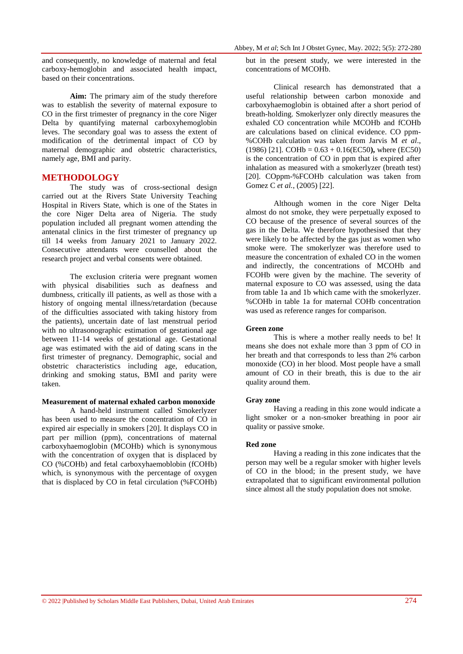and consequently, no knowledge of maternal and fetal carboxy-hemoglobin and associated health impact, based on their concentrations.

**Aim:** The primary aim of the study therefore was to establish the severity of maternal exposure to CO in the first trimester of pregnancy in the core Niger Delta by quantifying maternal carboxyhemoglobin leves. The secondary goal was to assess the extent of modification of the detrimental impact of CO by maternal demographic and obstetric characteristics, namely age, BMI and parity.

## **METHODOLOGY**

The study was of cross-sectional design carried out at the Rivers State University Teaching Hospital in Rivers State, which is one of the States in the core Niger Delta area of Nigeria. The study population included all pregnant women attending the antenatal clinics in the first trimester of pregnancy up till 14 weeks from January 2021 to January 2022. Consecutive attendants were counselled about the research project and verbal consents were obtained.

The exclusion criteria were pregnant women with physical disabilities such as deafness and dumbness, critically ill patients, as well as those with a history of ongoing mental illness/retardation (because of the difficulties associated with taking history from the patients), uncertain date of last menstrual period with no ultrasonographic estimation of gestational age between 11-14 weeks of gestational age. Gestational age was estimated with the aid of dating scans in the first trimester of pregnancy. Demographic, social and obstetric characteristics including age, education, drinking and smoking status, BMI and parity were taken.

### **Measurement of maternal exhaled carbon monoxide**

A hand-held instrument called Smokerlyzer has been used to measure the concentration of CO in expired air especially in smokers [20]. It displays CO in part per million (ppm), concentrations of maternal carboxyhaemoglobin (MCOHb) which is synonymous with the concentration of oxygen that is displaced by CO (%COHb) and fetal carboxyhaemoblobin (fCOHb) which, is synonymous with the percentage of oxygen that is displaced by CO in fetal circulation (%FCOHb) but in the present study, we were interested in the concentrations of MCOHb.

Clinical research has demonstrated that a useful relationship between carbon monoxide and carboxyhaemoglobin is obtained after a short period of breath-holding. Smokerlyzer only directly measures the exhaled CO concentration while MCOHb and fCOHb are calculations based on clinical evidence. CO ppm- %COHb calculation was taken from Jarvis M *et al*.,  $(1986)$  [21]. COHb =  $0.63 + 0.16$  (EC50), where (EC50) is the concentration of CO in ppm that is expired after inhalation as measured with a smokerlyzer (breath test) [20]. COppm-%FCOHb calculation was taken from Gomez C *et al.*, (2005) [22].

Although women in the core Niger Delta almost do not smoke, they were perpetually exposed to CO because of the presence of several sources of the gas in the Delta. We therefore hypothesised that they were likely to be affected by the gas just as women who smoke were. The smokerlyzer was therefore used to measure the concentration of exhaled CO in the women and indirectly, the concentrations of MCOHb and FCOHb were given by the machine. The severity of maternal exposure to CO was assessed, using the data from table 1a and 1b which came with the smokerlyzer. %COHb in table 1a for maternal COHb concentration was used as reference ranges for comparison.

#### **Green zone**

This is where a mother really needs to be! It means she does not exhale more than 3 ppm of CO in her breath and that corresponds to less than 2% carbon monoxide (CO) in her blood. Most people have a small amount of CO in their breath, this is due to the air quality around them.

#### **Gray zone**

Having a reading in this zone would indicate a light smoker or a non-smoker breathing in poor air quality or passive smoke.

#### **Red zone**

Having a reading in this zone indicates that the person may well be a regular smoker with higher levels of CO in the blood; in the present study, we have extrapolated that to significant environmental pollution since almost all the study population does not smoke.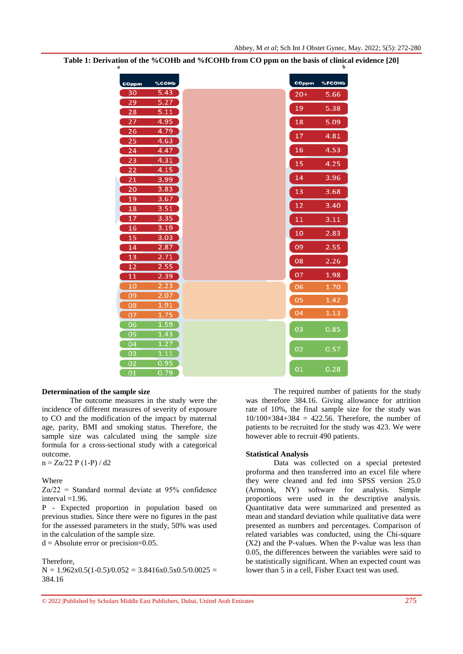| COppm                 | %COHb        | COppm | %FCOHb |
|-----------------------|--------------|-------|--------|
| 30                    | 5.43         | $20+$ | 5.66   |
| 29                    | 5.27         | 19    | 5.38   |
| 28                    | 5.11         |       |        |
| 27                    | 4.95         | 18    | 5.09   |
| 26                    | 4.79         | 17    | 4.81   |
| 25                    | 4.63         | 16    | 4.53   |
| $\overline{24}$<br>23 | 4.47<br>4.31 |       |        |
| $\overline{22}$       | 4.15         | 15    | 4.25   |
| 21                    | 3.99         | 14    | 3.96   |
| 20                    | 3.83         | 13    | 3.68   |
| 19                    | 3.67         |       |        |
| 18                    | 3.51         | 12    | 3.40   |
| 17                    | 3.35         | 11    | 3.11   |
| 16                    | 3.19         | 10    | 2.83   |
| 15                    | 3.03         |       |        |
| 14                    | 2.87         | 09    | 2.55   |
| $\overline{13}$       | 2.71         | 08    | 2.26   |
| $\overline{12}$       | 2.55         | 07    | 1.98   |
| 11<br>10              | 2.39<br>2.23 |       |        |
| 09                    | 2.07         | 06    | 1.70   |
| 08                    | 1.91         | 05    | 1.42   |
| 07                    | 1.75         | 04    | 1.13   |
| 06                    | 1.59         |       |        |
| 05                    | 1.43         | 03    | 0.85   |
| $\overline{04}$       | 1.27         |       |        |
| 03                    | 1.11         | 02    | 0.57   |
| 02                    | 0.95         | 01    | 0.28   |
| 01                    | 0.79         |       |        |

**Table 1: Derivation of the %COHb and %fCOHb from CO ppm on the basis of clinical evidence [20] a b**

#### **Determination of the sample size**

The outcome measures in the study were the incidence of different measures of severity of exposure to CO and the modification of the impact by maternal age, parity, BMI and smoking status. Therefore, the sample size was calculated using the sample size formula for a cross-sectional study with a categorical outcome.

 $n = Z\alpha/22$  P (1-P) / d2

Where

 $Z_{\alpha/22}$  = Standard normal deviate at 95% confidence interval  $=1.96$ .

P - Expected proportion in population based on previous studies. Since there were no figures in the past for the assessed parameters in the study, 50% was used in the calculation of the sample size.

 $d =$  Absolute error or precision=0.05.

Therefore,

 $N = 1.962x0.5(1-0.5)/0.052 = 3.8416x0.5x0.5/0.0025 =$ 384.16

The required number of patients for the study was therefore 384.16. Giving allowance for attrition rate of 10%, the final sample size for the study was  $10/100\times384+384 = 422.56$ . Therefore, the number of patients to be recruited for the study was 423. We were however able to recruit 490 patients.

### **Statistical Analysis**

Data was collected on a special pretested proforma and then transferred into an excel file where they were cleaned and fed into SPSS version 25.0 (Armonk, NY) software for analysis. Simple proportions were used in the descriptive analysis. Quantitative data were summarized and presented as mean and standard deviation while qualitative data were presented as numbers and percentages. Comparison of related variables was conducted, using the Chi-square (X2) and the P-values. When the P-value was less than 0.05, the differences between the variables were said to be statistically significant. When an expected count was lower than 5 in a cell, Fisher Exact test was used.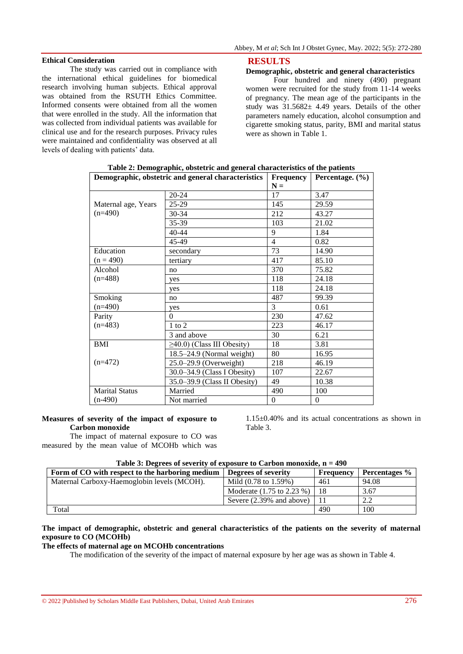The study was carried out in compliance with the international ethical guidelines for biomedical research involving human subjects. Ethical approval was obtained from the RSUTH Ethics Committee. Informed consents were obtained from all the women that were enrolled in the study. All the information that was collected from individual patients was available for clinical use and for the research purposes. Privacy rules were maintained and confidentiality was observed at all levels of dealing with patients' data.

#### **RESULTS**

## **Demographic, obstetric and general characteristics**

Four hundred and ninety (490) pregnant women were recruited for the study from 11-14 weeks of pregnancy. The mean age of the participants in the study was  $31.5682 \pm 4.49$  years. Details of the other parameters namely education, alcohol consumption and cigarette smoking status, parity, BMI and marital status were as shown in Table 1.

| Demographic, obstetric and general characteristics | <b>Frequency</b>                 | Percentage. $(\% )$ |          |
|----------------------------------------------------|----------------------------------|---------------------|----------|
|                                                    |                                  | $N =$               |          |
|                                                    | $20 - 24$                        | 17                  | 3.47     |
| Maternal age, Years                                | $25-29$                          | 145                 | 29.59    |
| $(n=490)$                                          | 30-34                            | 212                 | 43.27    |
|                                                    | 35-39                            | 103                 | 21.02    |
|                                                    | 40-44                            | 9                   | 1.84     |
|                                                    | 45-49                            | $\overline{4}$      | 0.82     |
| Education                                          | secondary                        | 73                  | 14.90    |
| $(n = 490)$                                        | tertiary                         | 417                 | 85.10    |
| Alcohol                                            | no                               | 370                 | 75.82    |
| $(n=488)$                                          | yes                              | 118                 | 24.18    |
|                                                    | yes                              | 118                 | 24.18    |
| Smoking                                            | no                               | 487                 | 99.39    |
| $(n=490)$                                          | yes                              | 3                   | 0.61     |
| Parity                                             | $\Omega$                         | 230                 | 47.62    |
| $(n=483)$                                          | $1$ to $2$                       | 223                 | 46.17    |
|                                                    | 3 and above                      | 30                  | 6.21     |
| BMI                                                | $\geq$ 40.0) (Class III Obesity) | 18                  | 3.81     |
|                                                    | $18.5 - 24.9$ (Normal weight)    | 80                  | 16.95    |
| $(n=472)$                                          | $25.0 - 29.9$ (Overweight)       | 218                 | 46.19    |
|                                                    | 30.0–34.9 (Class I Obesity)      | 107                 | 22.67    |
|                                                    | 35.0–39.9 (Class II Obesity)     | 49                  | 10.38    |
| <b>Marital Status</b>                              | Married                          | 490                 | 100      |
| $(n-490)$                                          | Not married                      | $\theta$            | $\Omega$ |

**Table 2: Demographic, obstetric and general characteristics of the patients**

#### **Measures of severity of the impact of exposure to Carbon monoxide**

The impact of maternal exposure to CO was measured by the mean value of MCOHb which was

1.15±0.40% and its actual concentrations as shown in Table 3.

|  |  | Table 3: Degrees of severity of exposure to Carbon monoxide, $n = 490$ |
|--|--|------------------------------------------------------------------------|
|  |  |                                                                        |

| Form of CO with respect to the harboring medium | Degrees of severity       | <b>Frequency</b> | Percentages % |
|-------------------------------------------------|---------------------------|------------------|---------------|
| Maternal Carboxy-Haemoglobin levels (MCOH).     | Mild (0.78 to 1.59%)      | 461              | 94.08         |
|                                                 | Moderate (1.75 to 2.23 %) | 18               | 3.67          |
|                                                 | Severe (2.39% and above)  | 11               | 2.2           |
| Total                                           |                           | 490              | 100           |

## **The impact of demographic, obstetric and general characteristics of the patients on the severity of maternal exposure to CO (MCOHb)**

### **The effects of maternal age on MCOHb concentrations**

The modification of the severity of the impact of maternal exposure by her age was as shown in Table 4.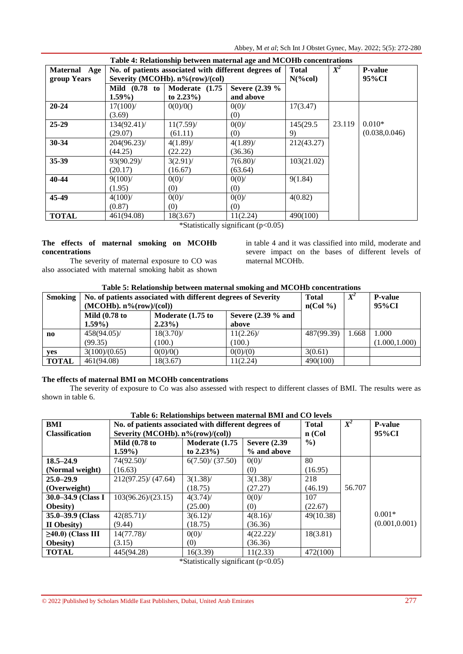Abbey, M *et al*; Sch Int J Obstet Gynec, May. 2022; 5(5): 272-280

| Table 4: Relationship between maternal age and MCOHb concentrations |                                                      |                |                |                |        |                |  |
|---------------------------------------------------------------------|------------------------------------------------------|----------------|----------------|----------------|--------|----------------|--|
| Maternal Age                                                        | No. of patients associated with different degrees of | <b>Total</b>   | $X^2$          | <b>P-value</b> |        |                |  |
| group Years                                                         | Severity (MCOHb). n%(row)/(col)                      |                |                | $N(\%col)$     |        | 95%CI          |  |
|                                                                     | Mild (0.78 to                                        | Moderate (1.75 | Severe (2.39 % |                |        |                |  |
|                                                                     | $1.59\%$                                             | to $2.23\%$ )  | and above      |                |        |                |  |
| $20 - 24$                                                           | $17(100)$ /                                          | 0(0)/0()       | 0(0)/          | 17(3.47)       |        |                |  |
|                                                                     | (3.69)                                               |                | (0)            |                |        |                |  |
| $25-29$                                                             | $134(92.41)$ /                                       | $11(7.59)$ /   | $0(0)$ /       | 145(29.5)      | 23.119 | $0.010*$       |  |
|                                                                     | (29.07)                                              | (61.11)        | (0)            | 9)             |        | (0.038, 0.046) |  |
| 30-34                                                               | 204(96.23)                                           | $4(1.89)$ /    | $4(1.89)$ /    | 212(43.27)     |        |                |  |
|                                                                     | (44.25)                                              | (22.22)        | (36.36)        |                |        |                |  |
| 35-39                                                               | 93(90.29)                                            | $3(2.91)$ /    | 7(6.80)        | 103(21.02)     |        |                |  |
|                                                                     | (20.17)                                              | (16.67)        | (63.64)        |                |        |                |  |
| 40-44                                                               | $9(100)$ /                                           | $0(0)$ /       | $0(0)$ /       | 9(1.84)        |        |                |  |
|                                                                     | (1.95)                                               | (0)            | (0)            |                |        |                |  |
| 45-49                                                               | $4(100)$ /                                           | $0(0)$ /       | $0(0)$ /       | 4(0.82)        |        |                |  |
|                                                                     | (0.87)                                               | (0)            | (0)            |                |        |                |  |
| <b>TOTAL</b>                                                        | 461(94.08)                                           | 18(3.67)       | 11(2.24)       | 490(100)       |        |                |  |

\*Statistically significant  $(p<0.05)$ 

## **The effects of maternal smoking on MCOHb concentrations**

The severity of maternal exposure to CO was also associated with maternal smoking habit as shown in table 4 and it was classified into mild, moderate and severe impact on the bases of different levels of maternal MCOHb.

## **Table 5: Relationship between maternal smoking and MCOHb concentrations**

| <b>Smoking</b>         | No. of patients associated with different degrees of Severity |                                           |              | <b>Total</b> |       | <b>P-value</b> |
|------------------------|---------------------------------------------------------------|-------------------------------------------|--------------|--------------|-------|----------------|
|                        | $(MCOHb)$ , $n\frac{6}{(\text{row})/(\text{col})}$            |                                           |              | $n(Col \%)$  |       | 95%CI          |
|                        | <b>Mild (0.78 to</b>                                          | Severe $(2.39\%$ and<br>Moderate (1.75 to |              |              |       |                |
|                        | $1.59\%$                                                      | $2.23\%$                                  | above        |              |       |                |
| $\mathbf{n}\mathbf{o}$ | $458(94.05)$ /                                                | $18(3.70)$ /                              | $11(2.26)$ / | 487(99.39)   | 1.668 | 1.000          |
|                        | (99.35)                                                       | 100.                                      | (100.)       |              |       | (1.000, 1.000) |
| <b>ves</b>             | 3(100)/(0.65)                                                 | 0(0)/0()                                  | 0(0)/(0)     | 3(0.61)      |       |                |
| <b>TOTAL</b>           | 461(94.08)                                                    | 18(3.67)                                  | 11(2.24)     | 490(100)     |       |                |

## **The effects of maternal BMI on MCOHb concentrations**

The severity of exposure to Co was also assessed with respect to different classes of BMI. The results were as shown in table 6.

| BMI                     | No. of patients associated with different degrees of<br><b>Total</b> |                 |                      |           |        | <b>P-value</b> |
|-------------------------|----------------------------------------------------------------------|-----------------|----------------------|-----------|--------|----------------|
| <b>Classification</b>   | Severity (MCOHb). n%(row)/(col))                                     |                 |                      | $n$ (Col  |        | 95%CI          |
|                         | <b>Mild (0.78 to)</b>                                                | Moderate (1.75  | <b>Severe (2.39)</b> | $\%$ )    |        |                |
|                         | $1.59\%$                                                             | to $2.23\%$ )   | % and above          |           |        |                |
| $18.5 - 24.9$           | 74(92.50)/                                                           | 6(7.50)/(37.50) | 0(0)/                | 80        |        |                |
| (Normal weight)         | (16.63)                                                              |                 | (0)                  | (16.95)   |        |                |
| $25.0 - 29.9$           | 212(97.25)/(47.64)                                                   | $3(1.38)$ /     | $3(1.38)$ /          | 218       |        |                |
| (Overweight)            |                                                                      | (18.75)         | (27.27)              | (46.19)   | 56.707 |                |
| 30.0–34.9 (Class I      | 103(96.26)/(23.15)                                                   | $4(3.74)$ /     | $0(0)$ /             | 107       |        |                |
| <b>Obesity</b> )        |                                                                      | (25.00)         | (0)                  | (22.67)   |        |                |
| 35.0–39.9 (Class        | $42(85.71)$ /                                                        | $3(6.12)$ /     | $4(8.16)$ /          | 49(10.38) |        | $0.001*$       |
| II Obesity)             | (9.44)                                                               | (18.75)         | (36.36)              |           |        | (0.001, 0.001) |
| $\geq$ 40.0) (Class III | $14(77.78)$ /                                                        | $0(0)$ /        | $4(22.22)$ /         | 18(3.81)  |        |                |
| <b>Obesity</b> )        | (3.15)                                                               | (0)             | (36.36)              |           |        |                |
| <b>TOTAL</b>            | 445(94.28)                                                           | 16(3.39)        | 11(2.33)             | 472(100)  |        |                |

**Table 6: Relationships between maternal BMI and CO levels**

\*Statistically significant (p<0.05)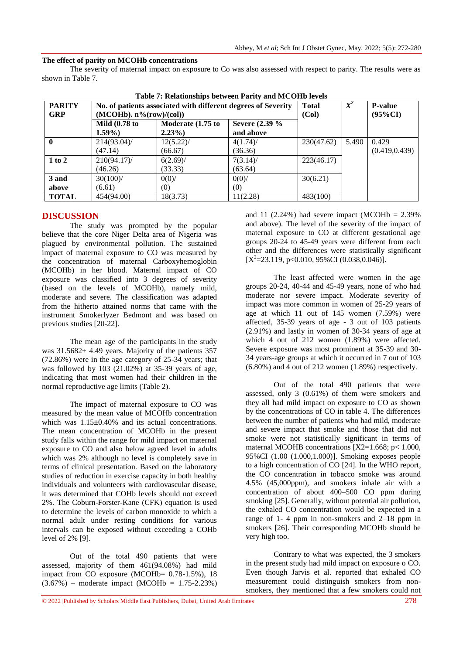## **The effect of parity on MCOHb concentrations**

The severity of maternal impact on exposure to Co was also assessed with respect to parity. The results were as shown in Table 7.

| Table 7: Relationships between Parity and MCOHD levels |                                                               |              |             |                |       |                |  |  |
|--------------------------------------------------------|---------------------------------------------------------------|--------------|-------------|----------------|-------|----------------|--|--|
| <b>PARITY</b>                                          | No. of patients associated with different degrees of Severity | <b>Total</b> | $X^2$       | <b>P-value</b> |       |                |  |  |
| <b>GRP</b>                                             | $(MCOHb)$ , $n\frac{6}{(\text{row})/(\text{col})}$            | (Col)        |             | $(95\%CI)$     |       |                |  |  |
|                                                        | <b>Mild</b> (0.78 to                                          |              |             |                |       |                |  |  |
|                                                        | $1.59\%$                                                      | $2.23\%$     | and above   |                |       |                |  |  |
|                                                        | 214(93.04)                                                    | $12(5.22)$ / | $4(1.74)$ / | 230(47.62)     | 5.490 | 0.429          |  |  |
|                                                        | (47.14)                                                       | (66.67)      | (36.36)     |                |       | (0.419, 0.439) |  |  |
| 1 to 2                                                 | $210(94.17)$ /                                                | $6(2.69)$ /  | $7(3.14)$ / | 223(46.17)     |       |                |  |  |
|                                                        | (46.26)                                                       | (33.33)      | (63.64)     |                |       |                |  |  |
| 3 and                                                  | $30(100)$ /                                                   | $0(0)$ /     | $0(0)$ /    | 30(6.21)       |       |                |  |  |
| above                                                  | (6.61)                                                        | (0)          | (0)         |                |       |                |  |  |
| <b>TOTAL</b>                                           | 454(94.00)                                                    | 18(3.73)     | 11(2.28)    | 483(100)       |       |                |  |  |

**Table 7: Relationships between Parity and MCOHb levels**

## **DISCUSSION**

The study was prompted by the popular believe that the core Niger Delta area of Nigeria was plagued by environmental pollution. The sustained impact of maternal exposure to CO was measured by the concentration of maternal Carboxyhemoglobin (MCOHb) in her blood. Maternal impact of CO exposure was classified into 3 degrees of severity (based on the levels of MCOHb), namely mild, moderate and severe. The classification was adapted from the hitherto attained norms that came with the instrument Smokerlyzer Bedmont and was based on previous studies [20-22].

The mean age of the participants in the study was  $31.5682 \pm 4.49$  years. Majority of the patients 357 (72.86%) were in the age category of 25-34 years; that was followed by 103 (21.02%) at 35-39 years of age, indicating that most women had their children in the normal reproductive age limits (Table 2).

The impact of maternal exposure to CO was measured by the mean value of MCOHb concentration which was  $1.15\pm0.40\%$  and its actual concentrations. The mean concentration of MCOHb in the present study falls within the range for mild impact on maternal exposure to CO and also below agreed level in adults which was 2% although no level is completely save in terms of clinical presentation. Based on the laboratory studies of reduction in exercise capacity in both healthy individuals and volunteers with cardiovascular disease, it was determined that COHb levels should not exceed 2%. The Coburn-Forster-Kane (CFK) equation is used to determine the levels of carbon monoxide to which a normal adult under resting conditions for various intervals can be exposed without exceeding a COHb level of 2% [9].

Out of the total 490 patients that were assessed, majority of them 461(94.08%) had mild impact from CO exposure (MCOHb= 0.78-1.5%), 18  $(3.67%)$  – moderate impact (MCOHb = 1.75-2.23%) and 11 (2.24%) had severe impact (MCOHb =  $2.39\%$ ) and above). The level of the severity of the impact of maternal exposure to CO at different gestational age groups 20-24 to 45-49 years were different from each other and the differences were statistically significant  $[X^2=23.119, p<0.010, 95\%$ CI (0.038,0.046)].

The least affected were women in the age groups 20-24, 40-44 and 45-49 years, none of who had moderate nor severe impact. Moderate severity of impact was more common in women of 25-29 years of age at which 11 out of 145 women (7.59%) were affected, 35-39 years of age - 3 out of 103 patients (2.91%) and lastly in women of 30-34 years of age at which 4 out of 212 women  $(1.89%)$  were affected. Severe exposure was most prominent at 35-39 and 30- 34 years-age groups at which it occurred in 7 out of 103  $(6.80\%)$  and 4 out of 212 women  $(1.89\%)$  respectively.

Out of the total 490 patients that were assessed, only 3 (0.61%) of them were smokers and they all had mild impact on exposure to CO as shown by the concentrations of CO in table 4. The differences between the number of patients who had mild, moderate and severe impact that smoke and those that did not smoke were not statistically significant in terms of maternal MCOHB concentrations  $[X2=1.668; p< 1.000]$ . 95%CI (1.00 (1.000,1.000)]. Smoking exposes people to a high concentration of CO [24]. In the WHO report, the CO concentration in tobacco smoke was around 4.5% (45,000ppm), and smokers inhale air with a concentration of about 400–500 CO ppm during smoking [25]. Generally, without potential air pollution, the exhaled CO concentration would be expected in a range of 1- 4 ppm in non-smokers and 2–18 ppm in smokers [26]. Their corresponding MCOHb should be very high too.

Contrary to what was expected, the 3 smokers in the present study had mild impact on exposure o CO. Even though Jarvis et al. reported that exhaled CO measurement could distinguish smokers from nonsmokers, they mentioned that a few smokers could not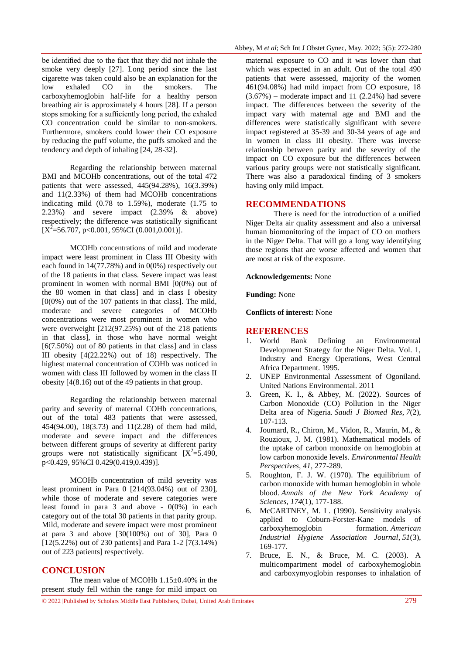be identified due to the fact that they did not inhale the smoke very deeply [27]. Long period since the last cigarette was taken could also be an explanation for the low exhaled CO in the smokers. The carboxyhemoglobin half-life for a healthy person breathing air is approximately 4 hours [28]. If a person stops smoking for a sufficiently long period, the exhaled CO concentration could be similar to non-smokers. Furthermore, smokers could lower their CO exposure by reducing the puff volume, the puffs smoked and the tendency and depth of inhaling [24, 28-32].

Regarding the relationship between maternal BMI and MCOHb concentrations, out of the total 472 patients that were assessed, 445(94.28%), 16(3.39%) and 11(2.33%) of them had MCOHb concentrations indicating mild (0.78 to 1.59%), moderate (1.75 to 2.23%) and severe impact (2.39% & above) respectively; the difference was statistically significant  $[X^2 = 56.707, p < 0.001, 95\%$ CI (0.001,0.001)].

MCOHb concentrations of mild and moderate impact were least prominent in Class III Obesity with each found in  $14(77.78%)$  and in  $0(0%)$  respectively out of the 18 patients in that class. Severe impact was least prominent in women with normal BMI [0(0%) out of the 80 women in that class] and in class I obesity  $[0(0\%)$  out of the 107 patients in that class]. The mild, moderate and severe categories of MCOHb concentrations were most prominent in women who were overweight [212(97.25%) out of the 218 patients in that class], in those who have normal weight  $[6(7.50\%)$  out of 80 patients in that class and in class III obesity [4(22.22%) out of 18) respectively. The highest maternal concentration of COHb was noticed in women with class III followed by women in the class II obesity [4(8.16) out of the 49 patients in that group.

Regarding the relationship between maternal parity and severity of maternal COHb concentrations, out of the total 483 patients that were assessed, 454(94.00), 18(3.73) and 11(2.28) of them had mild, moderate and severe impact and the differences between different groups of severity at different parity groups were not statistically significant  $[X^2=5.490]$ , p<0.429, 95%CI 0.429(0.419,0.439)].

MCOHb concentration of mild severity was least prominent in Para 0 [214(93.04%) out of 230], while those of moderate and severe categories were least found in para 3 and above -  $0(0\%)$  in each category out of the total 30 patients in that parity group. Mild, moderate and severe impact were most prominent at para 3 and above  $[30(100\%)$  out of 30], Para 0 [12(5.22%) out of 230 patients] and Para 1-2 [7(3.14%) out of 223 patients] respectively.

### **CONCLUSION**

The mean value of MCOHb 1.15±0.40% in the present study fell within the range for mild impact on

maternal exposure to CO and it was lower than that which was expected in an adult. Out of the total 490 patients that were assessed, majority of the women 461(94.08%) had mild impact from CO exposure, 18  $(3.67%)$  – moderate impact and 11 (2.24%) had severe impact. The differences between the severity of the impact vary with maternal age and BMI and the differences were statistically significant with severe impact registered at 35-39 and 30-34 years of age and in women in class III obesity. There was inverse relationship between parity and the severity of the impact on CO exposure but the differences between various parity groups were not statistically significant. There was also a paradoxical finding of 3 smokers having only mild impact.

#### **RECOMMENDATIONS**

There is need for the introduction of a unified Niger Delta air quality assessment and also a universal human biomonitoring of the impact of CO on mothers in the Niger Delta. That will go a long way identifying those regions that are worse affected and women that are most at risk of the exposure.

#### **Acknowledgements:** None

**Funding:** None

**Conflicts of interest:** None

#### **REFERENCES**

- 1. World Bank Defining an Environmental Development Strategy for the Niger Delta. Vol. 1, Industry and Energy Operations, West Central Africa Department. 1995.
- 2. UNEP Environmental Assessment of Ogoniland. United Nations Environmental. 2011
- 3. Green, K. I., & Abbey, M. (2022). Sources of Carbon Monoxide (CO) Pollution in the Niger Delta area of Nigeria. *Saudi J Biomed Res*, *7*(2), 107-113.
- 4. Joumard, R., Chiron, M., Vidon, R., Maurin, M., & Rouzioux, J. M. (1981). Mathematical models of the uptake of carbon monoxide on hemoglobin at low carbon monoxide levels. *Environmental Health Perspectives*, *41*, 277-289.
- 5. Roughton, F. J. W. (1970). The equilibrium of carbon monoxide with human hemoglobin in whole blood. *Annals of the New York Academy of Sciences*, *174*(1), 177-188.
- 6. McCARTNEY, M. L. (1990). Sensitivity analysis applied to Coburn-Forster-Kane models of carboxyhemoglobin formation. *American Industrial Hygiene Association Journal*, *51*(3), 169-177.
- 7. Bruce, E. N., & Bruce, M. C. (2003). A multicompartment model of carboxyhemoglobin and carboxymyoglobin responses to inhalation of